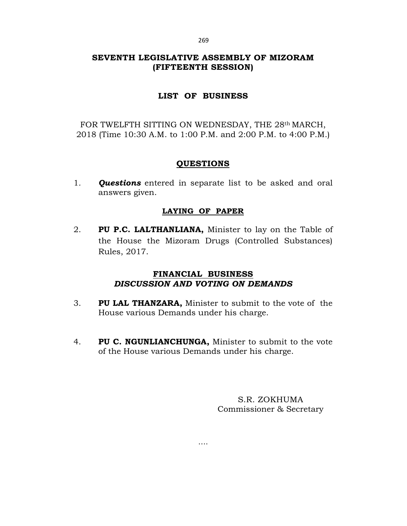# **SEVENTH LEGISLATIVE ASSEMBLY OF MIZORAM (FIFTEENTH SESSION)**

# **LIST OF BUSINESS**

FOR TWELFTH SITTING ON WEDNESDAY, THE 28th MARCH, 2018 (Time 10:30 A.M. to 1:00 P.M. and 2:00 P.M. to 4:00 P.M.)

# **QUESTIONS**

1*. Questions* entered in separate list to be asked and oral answers given.

# **LAYING OF PAPER**

2. **PU P.C. LALTHANLIANA,** Minister to lay on the Table of the House the Mizoram Drugs (Controlled Substances) Rules, 2017.

# **FINANCIAL BUSINESS** *DISCUSSION AND VOTING ON DEMANDS*

- 3. **PU LAL THANZARA,** Minister to submit to the vote of the House various Demands under his charge.
- 4. **PU C. NGUNLIANCHUNGA,** Minister to submit to the vote of the House various Demands under his charge.

….

S.R. ZOKHUMA Commissioner & Secretary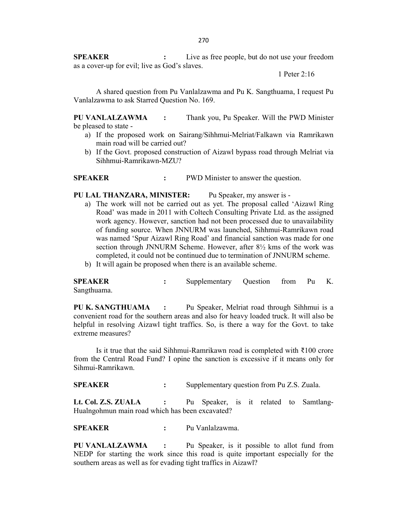**SPEAKER :** Live as free people, but do not use your freedom as a cover-up for evil; live as God's slaves.

1 Peter 2:16

A shared question from Pu Vanlalzawma and Pu K. Sangthuama, I request Pu Vanlalzawma to ask Starred Question No. 169.

**PU VANLALZAWMA :** Thank you, Pu Speaker. Will the PWD Minister be pleased to state -

- a) If the proposed work on Sairang/Sihhmui-Melriat/Falkawn via Ramrikawn main road will be carried out?
- b) If the Govt. proposed construction of Aizawl bypass road through Melriat via Sihhmui-Ramrikawn-MZU?

**SPEAKER** : PWD Minister to answer the question.

**PU LAL THANZARA, MINISTER:** Pu Speaker, my answer is -

- a) The work will not be carried out as yet. The proposal called 'Aizawl Ring Road' was made in 2011 with Coltech Consulting Private Ltd. as the assigned work agency. However, sanction had not been processed due to unavailability of funding source. When JNNURM was launched, Sihhmui-Ramrikawn road was named 'Spur Aizawl Ring Road' and financial sanction was made for one section through JNNURM Scheme. However, after  $8\frac{1}{2}$  kms of the work was completed, it could not be continued due to termination of JNNURM scheme.
- b) It will again be proposed when there is an available scheme.

**SPEAKER :** Supplementary Question from Pu K. Sangthuama.

**PU K. SANGTHUAMA :** Pu Speaker, Melriat road through Sihhmui is a convenient road for the southern areas and also for heavy loaded truck. It will also be helpful in resolving Aizawl tight traffics. So, is there a way for the Govt. to take extreme measures?

Is it true that the said Sihhmui-Ramrikawn road is completed with ₹100 crore from the Central Road Fund? I opine the sanction is excessive if it means only for Sihmui-Ramrikawn.

**SPEAKER :** Supplementary question from Pu Z.S. Zuala.

**Lt. Col. Z.S. ZUALA :** Pu Speaker, is it related to Samtlang-Hualngohmun main road which has been excavated?

**SPEAKER :** Pu Vanlalzawma.

**PU VANLALZAWMA :** Pu Speaker, is it possible to allot fund from NEDP for starting the work since this road is quite important especially for the southern areas as well as for evading tight traffics in Aizawl?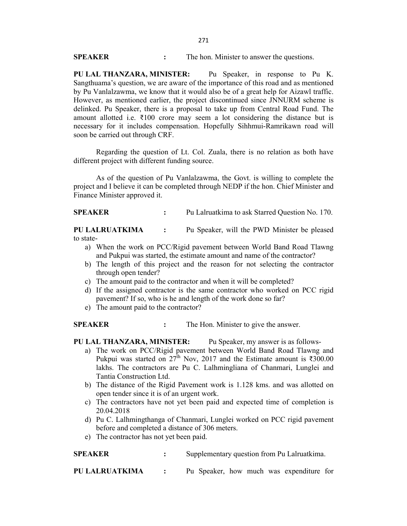**SPEAKER :** The hon. Minister to answer the questions.

**PU LAL THANZARA, MINISTER:** Pu Speaker, in response to Pu K. Sangthuama's question, we are aware of the importance of this road and as mentioned by Pu Vanlalzawma, we know that it would also be of a great help for Aizawl traffic. However, as mentioned earlier, the project discontinued since JNNURM scheme is delinked. Pu Speaker, there is a proposal to take up from Central Road Fund. The amount allotted i.e.  $\bar{\xi}100$  crore may seem a lot considering the distance but is necessary for it includes compensation. Hopefully Sihhmui-Ramrikawn road will soon be carried out through CRF.

Regarding the question of Lt. Col. Zuala, there is no relation as both have different project with different funding source.

As of the question of Pu Vanlalzawma, the Govt. is willing to complete the project and I believe it can be completed through NEDP if the hon. Chief Minister and Finance Minister approved it.

**SPEAKER :** Pu Lalruatkima to ask Starred Question No. 170.

**PU LALRUATKIMA :** Pu Speaker, will the PWD Minister be pleased to state-

- a) When the work on PCC/Rigid pavement between World Band Road Tlawng and Pukpui was started, the estimate amount and name of the contractor?
- b) The length of this project and the reason for not selecting the contractor through open tender?
- c) The amount paid to the contractor and when it will be completed?
- d) If the assigned contractor is the same contractor who worked on PCC rigid pavement? If so, who is he and length of the work done so far?
- e) The amount paid to the contractor?

**SPEAKER :** The Hon. Minister to give the answer.

- **PU LAL THANZARA, MINISTER:** Pu Speaker, my answer is as follows
	- a) The work on PCC/Rigid pavement between World Band Road Tlawng and Pukpui was started on  $27^{\text{th}}$  Nov, 2017 and the Estimate amount is ₹300.00 lakhs. The contractors are Pu C. Lalhmingliana of Chanmari, Lunglei and Tantia Construction Ltd.
	- b) The distance of the Rigid Pavement work is 1.128 kms. and was allotted on open tender since it is of an urgent work.
	- c) The contractors have not yet been paid and expected time of completion is 20.04.2018
	- d) Pu C. Lalhmingthanga of Chanmari, Lunglei worked on PCC rigid pavement before and completed a distance of 306 meters.
	- e) The contractor has not yet been paid.

## **SPEAKER :** Supplementary question from Pu Lalruatkima.

**PU LALRUATKIMA :** Pu Speaker, how much was expenditure for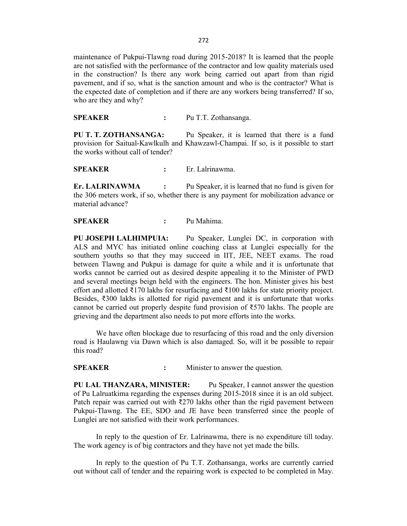maintenance of Pukpui-Tlawng road during 2015-2018? It is learned that the people are not satisfied with the performance of the contractor and low quality materials used in the construction? Is there any work being carried out apart from than rigid pavement, and if so, what is the sanction amount and who is the contractor? What is the expected date of completion and if there are any workers being transferred? If so, who are they and why?

**SPEAKER :** Pu T.T. Zothansanga.

**PU T. T. ZOTHANSANGA:** Pu Speaker, it is learned that there is a fund provision for Saitual-Kawlkulh and Khawzawl-Champai. If so, is it possible to start the works without call of tender?

**SPEAKER :** Er. Lalrinawma.

**Er. LALRINAWMA :** Pu Speaker, it is learned that no fund is given for the 306 meters work, if so, whether there is any payment for mobilization advance or material advance?

### **SPEAKER :** Pu Mahima.

**PU JOSEPH LALHIMPUIA:** Pu Speaker, Lunglei DC, in corporation with ALS and MYC has initiated online coaching class at Lunglei especially for the southern youths so that they may succeed in IIT, JEE, NEET exams. The road between Tlawng and Pukpui is damage for quite a while and it is unfortunate that works cannot be carried out as desired despite appealing it to the Minister of PWD and several meetings beign held with the engineers. The hon. Minister gives his best effort and allotted ₹170 lakhs for resurfacing and ₹100 lakhs for state priority project. Besides, ₹300 lakhs is allotted for rigid pavement and it is unfortunate that works cannot be carried out properly despite fund provision of  $\overline{5570}$  lakhs. The people are grieving and the department also needs to put more efforts into the works.

We have often blockage due to resurfacing of this road and the only diversion road is Haulawng via Dawn which is also damaged. So, will it be possible to repair this road?

**SPEAKER :** Minister to answer the question.

**PU LAL THANZARA, MINISTER:** Pu Speaker, I cannot answer the question of Pu Lalruatkima regarding the expenses during 2015-2018 since it is an old subject. Patch repair was carried out with  $\overline{x}$ 270 lakhs other than the rigid pavement between Pukpui-Tlawng. The EE, SDO and JE have been transferred since the people of Lunglei are not satisfied with their work performances.

In reply to the question of Er. Lalrinawma, there is no expenditure till today. The work agency is of big contractors and they have not yet made the bills.

In reply to the question of Pu T.T. Zothansanga, works are currently carried out without call of tender and the repairing work is expected to be completed in May.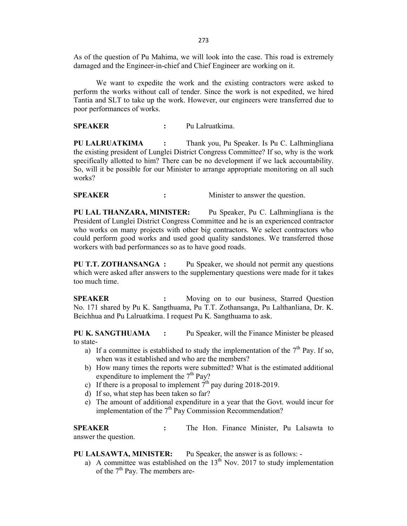As of the question of Pu Mahima, we will look into the case. This road is extremely damaged and the Engineer-in-chief and Chief Engineer are working on it.

We want to expedite the work and the existing contractors were asked to perform the works without call of tender. Since the work is not expedited, we hired Tantia and SLT to take up the work. However, our engineers were transferred due to poor performances of works.

**SPEAKER :** Pu Lalruatkima.

**PU LALRUATKIMA :** Thank you, Pu Speaker. Is Pu C. Lalhmingliana the existing president of Lunglei District Congress Committee? If so, why is the work specifically allotted to him? There can be no development if we lack accountability. So, will it be possible for our Minister to arrange appropriate monitoring on all such works?

**SPEAKER :** Minister to answer the question.

**PU LAL THANZARA, MINISTER:** Pu Speaker, Pu C. Lalhmingliana is the President of Lunglei District Congress Committee and he is an experienced contractor who works on many projects with other big contractors. We select contractors who could perform good works and used good quality sandstones. We transferred those workers with bad performances so as to have good roads.

**PU T.T. ZOTHANSANGA :** Pu Speaker, we should not permit any questions which were asked after answers to the supplementary questions were made for it takes too much time.

**SPEAKER :** Moving on to our business, Starred Question No. 171 shared by Pu K. Sangthuama, Pu T.T. Zothansanga, Pu Lalthanliana, Dr. K. Beichhua and Pu Lalruatkima. I request Pu K. Sangthuama to ask.

**PU K. SANGTHUAMA :** Pu Speaker, will the Finance Minister be pleased to state-

- a) If a committee is established to study the implementation of the  $7<sup>th</sup>$  Pay. If so, when was it established and who are the members?
- b) How many times the reports were submitted? What is the estimated additional expenditure to implement the  $7<sup>th</sup>$  Pay?
- c) If there is a proposal to implement  $7<sup>th</sup>$  pay during 2018-2019.
- d) If so, what step has been taken so far?
- e) The amount of additional expenditure in a year that the Govt. would incur for implementation of the  $7<sup>th</sup>$  Pay Commission Recommendation?

**SPEAKER :** The Hon. Finance Minister, Pu Lalsawta to answer the question.

**PU LALSAWTA, MINISTER:** Pu Speaker, the answer is as follows: -

a) A committee was established on the  $13<sup>th</sup>$  Nov. 2017 to study implementation of the  $7<sup>th</sup>$  Pay. The members are-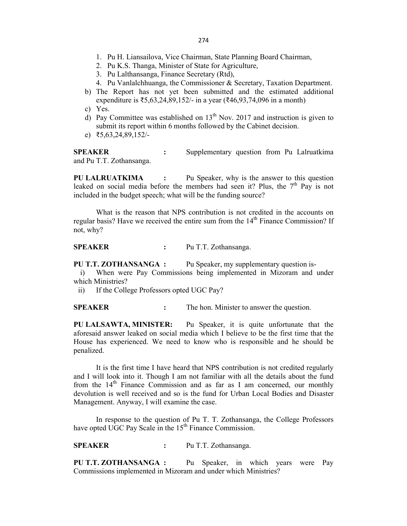- 1. Pu H. Liansailova, Vice Chairman, State Planning Board Chairman,
- 2. Pu K.S. Thanga, Minister of State for Agriculture,
- 3. Pu Lalthansanga, Finance Secretary (Rtd),
- 4. Pu Vanlalchhuanga, the Commissioner & Secretary, Taxation Department.
- b) The Report has not yet been submitted and the estimated additional expenditure is ₹5,63,24,89,152/- in a year (₹46,93,74,096 in a month)

c) Yes.

- d) Pay Committee was established on  $13<sup>th</sup>$  Nov. 2017 and instruction is given to submit its report within 6 months followed by the Cabinet decision.
- e) ₹5,63,24,89,152/-

**SPEAKER :** Supplementary question from Pu Lalruatkima and Pu T.T. Zothansanga.

**PU LALRUATKIMA :** Pu Speaker, why is the answer to this question leaked on social media before the members had seen it? Plus, the  $7<sup>th</sup>$  Pay is not included in the budget speech; what will be the funding source?

What is the reason that NPS contribution is not credited in the accounts on regular basis? Have we received the entire sum from the 14<sup>th</sup> Finance Commission? If not, why?

**SPEAKER :** Pu T.T. Zothansanga.

**PU T.T. ZOTHANSANGA :** Pu Speaker, my supplementary question is-

i) When were Pay Commissions being implemented in Mizoram and under which Ministries?

ii) If the College Professors opted UGC Pay?

**SPEAKER :** The hon. Minister to answer the question.

**PU LALSAWTA, MINISTER:** Pu Speaker, it is quite unfortunate that the aforesaid answer leaked on social media which I believe to be the first time that the House has experienced. We need to know who is responsible and he should be penalized.

It is the first time I have heard that NPS contribution is not credited regularly and I will look into it. Though I am not familiar with all the details about the fund from the  $14<sup>th</sup>$  Finance Commission and as far as I am concerned, our monthly devolution is well received and so is the fund for Urban Local Bodies and Disaster Management. Anyway, I will examine the case.

In response to the question of Pu T. T. Zothansanga, the College Professors have opted UGC Pay Scale in the  $15<sup>th</sup>$  Finance Commission.

**SPEAKER :** Pu T.T. Zothansanga.

**PU T.T. ZOTHANSANGA :** Pu Speaker, in which years were Pay Commissions implemented in Mizoram and under which Ministries?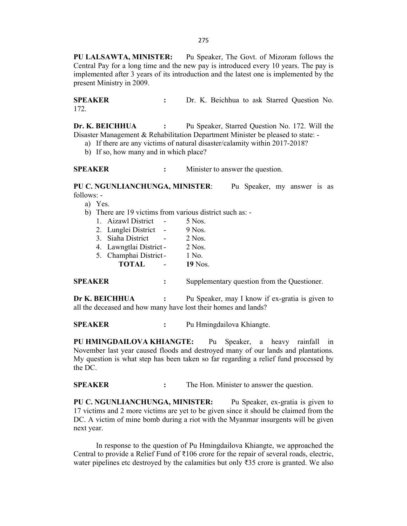275

**PU LALSAWTA, MINISTER:** Pu Speaker, The Govt. of Mizoram follows the Central Pay for a long time and the new pay is introduced every 10 years. The pay is implemented after 3 years of its introduction and the latest one is implemented by the present Ministry in 2009.

**SPEAKER :** Dr. K. Beichhua to ask Starred Question No. 172.

**Dr. K. BEICHHUA :** Pu Speaker, Starred Question No. 172. Will the Disaster Management & Rehabilitation Department Minister be pleased to state: -

- a) If there are any victims of natural disaster/calamity within 2017-2018?
- b) If so, how many and in which place?

**SPEAKER :** Minister to answer the question.

**PU C. NGUNLIANCHUNGA, MINISTER**: Pu Speaker, my answer is as follows: -

a) Yes.

b) There are 19 victims from various district such as: -

| 1. Aizawl District      | 5 Nos.   |
|-------------------------|----------|
| 2. Lunglei District     | 9 Nos.   |
| 3. Siaha District       | $2$ Nos. |
| 4. Lawngtlai District - | $2$ Nos. |
| 5. Champhai District-   | 1 No.    |

**TOTAL** - **19** Nos.

| <b>SPEAKER</b> | Supplementary question from the Questioner. |
|----------------|---------------------------------------------|
|----------------|---------------------------------------------|

**Dr K. BEICHHUA** : Pu Speaker, may I know if ex-gratia is given to all the deceased and how many have lost their homes and lands?

**SPEAKER :** Pu Hmingdailova Khiangte.

**PU HMINGDAILOVA KHIANGTE:** Pu Speaker, a heavy rainfall in November last year caused floods and destroyed many of our lands and plantations. My question is what step has been taken so far regarding a relief fund processed by the DC.

**SPEAKER :** The Hon. Minister to answer the question.

**PU C. NGUNLIANCHUNGA, MINISTER:** Pu Speaker, ex-gratia is given to 17 victims and 2 more victims are yet to be given since it should be claimed from the DC. A victim of mine bomb during a riot with the Myanmar insurgents will be given next year.

In response to the question of Pu Hmingdailova Khiangte, we approached the Central to provide a Relief Fund of ₹106 crore for the repair of several roads, electric, water pipelines etc destroyed by the calamities but only  $\overline{3}35$  crore is granted. We also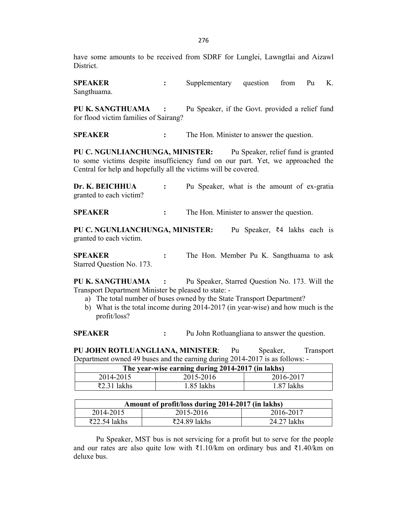have some amounts to be received from SDRF for Lunglei, Lawngtlai and Aizawl District.

**SPEAKER :** Supplementary question from Pu K. Sangthuama.

**PU K. SANGTHUAMA :** Pu Speaker, if the Govt. provided a relief fund for flood victim families of Sairang?

**SPEAKER :** The Hon. Minister to answer the question.

**PU C. NGUNLIANCHUNGA, MINISTER:** Pu Speaker, relief fund is granted to some victims despite insufficiency fund on our part. Yet, we approached the Central for help and hopefully all the victims will be covered.

**Dr. K. BEICHHUA :** Pu Speaker, what is the amount of ex-gratia granted to each victim?

**SPEAKER :** The Hon. Minister to answer the question.

**PU C. NGUNLIANCHUNGA, MINISTER:** Pu Speaker, ₹4 lakhs each is granted to each victim.

**SPEAKER :** The Hon. Member Pu K. Sangthuama to ask Starred Question No. 173.

**PU K. SANGTHUAMA :** Pu Speaker, Starred Question No. 173. Will the Transport Department Minister be pleased to state: -

- a) The total number of buses owned by the State Transport Department?
- b) What is the total income during 2014-2017 (in year-wise) and how much is the profit/loss?

**SPEAKER :** Pu John Rotluangliana to answer the question.

**PU JOHN ROTLUANGLIANA, MINISTER**: Pu Speaker, Transport Department owned 49 buses and the earning during 2014-2017 is as follows: -

| The year-wise earning during 2014-2017 (in lakhs) |            |            |  |
|---------------------------------------------------|------------|------------|--|
| 2014-2015                                         | 2015-2016  | 2016-2017  |  |
| ₹2.31 lakhs                                       | '.85 lakhs | 1.87 lakhs |  |

| Amount of profit/loss during 2014-2017 (in lakhs) |                           |             |
|---------------------------------------------------|---------------------------|-------------|
| 2014-2015                                         | 2015-2016                 | 2016-2017   |
| $\overline{22.54}$ lakhs                          | $\overline{2}24.89$ lakhs | 24.27 lakhs |

Pu Speaker, MST bus is not servicing for a profit but to serve for the people and our rates are also quite low with ₹1.10/km on ordinary bus and ₹1.40/km on deluxe bus.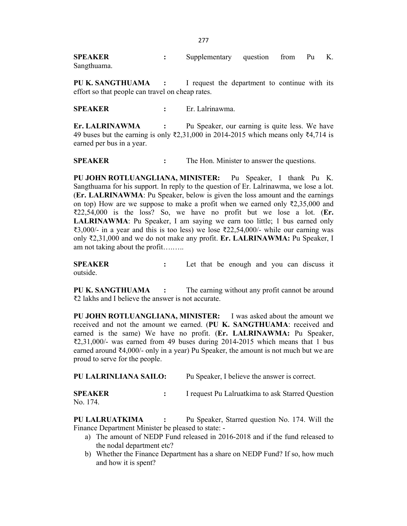**SPEAKER :** Supplementary question from Pu K. Sangthuama.

**PU K. SANGTHUAMA :** I request the department to continue with its effort so that people can travel on cheap rates.

**SPEAKER :** Er. Lalrinawma.

**Er. LALRINAWMA :** Pu Speaker, our earning is quite less. We have 49 buses but the earning is only ₹2,31,000 in 2014-2015 which means only ₹4,714 is earned per bus in a year.

**SPEAKER :** The Hon. Minister to answer the questions.

**PU JOHN ROTLUANGLIANA, MINISTER:** Pu Speaker, I thank Pu K. Sangthuama for his support. In reply to the question of Er. Lalrinawma, we lose a lot. (**Er. LALRINAWMA**: Pu Speaker, below is given the loss amount and the earnings on top) How are we suppose to make a profit when we earned only ₹2,35,000 and ₹22,54,000 is the loss? So, we have no profit but we lose a lot. (**Er. LALRINAWMA**: Pu Speaker, I am saying we earn too little; 1 bus earned only ₹3,000/- in a year and this is too less) we lose ₹22,54,000/- while our earning was only ₹2,31,000 and we do not make any profit. **Er. LALRINAWMA:** Pu Speaker, I am not taking about the profit….…..

**SPEAKER :** Let that be enough and you can discuss it outside.

**PU K. SANGTHUAMA :** The earning without any profit cannot be around ₹2 lakhs and I believe the answer is not accurate.

**PU JOHN ROTLUANGLIANA, MINISTER:** I was asked about the amount we received and not the amount we earned. (**PU K. SANGTHUAMA**: received and earned is the same) We have no profit. (**Er. LALRINAWMA:** Pu Speaker, ₹2,31,000/- was earned from 49 buses during 2014-2015 which means that 1 bus earned around ₹4,000/- only in a year) Pu Speaker, the amount is not much but we are proud to serve for the people.

**PU LALRINLIANA SAILO:** Pu Speaker, I believe the answer is correct.

**SPEAKER :** I request Pu Lalruatkima to ask Starred Question No. 174.

**PU LALRUATKIMA :** Pu Speaker, Starred question No. 174. Will the Finance Department Minister be pleased to state: -

- a) The amount of NEDP Fund released in 2016-2018 and if the fund released to the nodal department etc?
- b) Whether the Finance Department has a share on NEDP Fund? If so, how much and how it is spent?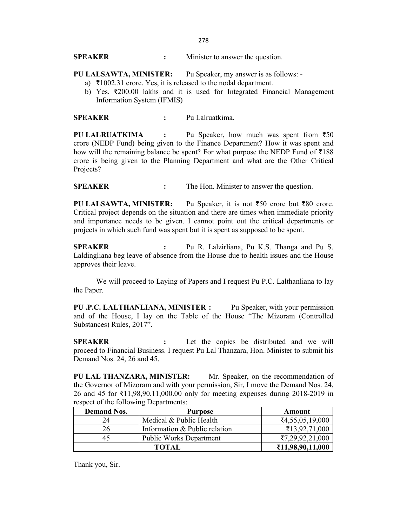278

**SPEAKER :** Minister to answer the question.

### **PU LALSAWTA, MINISTER:** Pu Speaker, my answer is as follows: -

- a) ₹1002.31 crore. Yes, it is released to the nodal department.
- b) Yes. ₹200.00 lakhs and it is used for Integrated Financial Management Information System (IFMIS)

**SPEAKER :** Pu Lalruatkima.

**PU LALRUATKIMA :** Pu Speaker, how much was spent from ₹50 crore (NEDP Fund) being given to the Finance Department? How it was spent and how will the remaining balance be spent? For what purpose the NEDP Fund of ₹188 crore is being given to the Planning Department and what are the Other Critical Projects?

**SPEAKER :** The Hon. Minister to answer the question.

**PU LALSAWTA, MINISTER:** Pu Speaker, it is not ₹50 crore but ₹80 crore. Critical project depends on the situation and there are times when immediate priority and importance needs to be given. I cannot point out the critical departments or projects in which such fund was spent but it is spent as supposed to be spent.

**SPEAKER :** Pu R. Lalzirliana, Pu K.S. Thanga and Pu S. Laldingliana beg leave of absence from the House due to health issues and the House approves their leave.

We will proceed to Laying of Papers and I request Pu P.C. Lalthanliana to lay the Paper.

**PU .P.C. LALTHANLIANA, MINISTER :** Pu Speaker, with your permission and of the House, I lay on the Table of the House "The Mizoram (Controlled Substances) Rules, 2017".

**SPEAKER :** Let the copies be distributed and we will proceed to Financial Business. I request Pu Lal Thanzara, Hon. Minister to submit his Demand Nos. 24, 26 and 45.

PU LAL THANZARA, MINISTER: Mr. Speaker, on the recommendation of the Governor of Mizoram and with your permission, Sir, I move the Demand Nos. 24, 26 and 45 for ₹11,98,90,11,000.00 only for meeting expenses during 2018-2019 in respect of the following Departments:

| <b>Demand Nos.</b> | <b>Purpose</b>                | Amount                             |
|--------------------|-------------------------------|------------------------------------|
| 24                 | Medical & Public Health       | ₹4,55,05,19,000                    |
| 26                 | Information & Public relation | $\text{\textsterling}13,92,71,000$ |
|                    | Public Works Department       | ₹7,29,92,21,000                    |
| <b>TOTAL</b>       |                               | ₹11,98,90,11,000                   |

Thank you, Sir.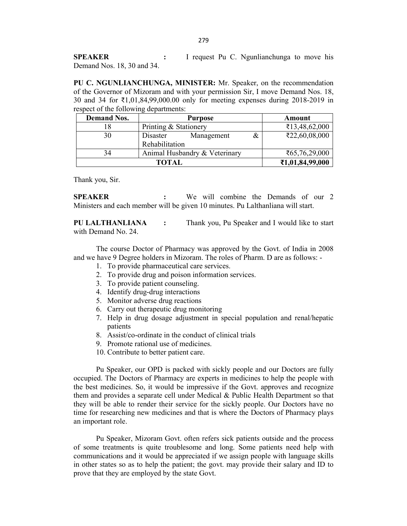**SPEAKER :** I request Pu C. Ngunlianchunga to move his Demand Nos. 18, 30 and 34.

**PU C. NGUNLIANCHUNGA, MINISTER:** Mr. Speaker, on the recommendation of the Governor of Mizoram and with your permission Sir, I move Demand Nos. 18, 30 and 34 for ₹1,01,84,99,000.00 only for meeting expenses during 2018-2019 in respect of the following departments:

| <b>Demand Nos.</b> | <b>Purpose</b>                |   | Amount                         |
|--------------------|-------------------------------|---|--------------------------------|
|                    | Printing & Stationery         |   | ₹13,48,62,000                  |
| 30                 | Disaster<br>Management        | & | ₹22,60,08,000                  |
|                    | Rehabilitation                |   |                                |
| 34                 | Animal Husbandry & Veterinary |   | $\mathsf{\bar{5}65,76,29,000}$ |
| <b>TOTAL</b>       |                               |   | ₹1,01,84,99,000                |

Thank you, Sir.

**SPEAKER :** We will combine the Demands of our 2 Ministers and each member will be given 10 minutes. Pu Lalthanliana will start.

**PU LALTHANLIANA :** Thank you, Pu Speaker and I would like to start with Demand No. 24.

The course Doctor of Pharmacy was approved by the Govt. of India in 2008 and we have 9 Degree holders in Mizoram. The roles of Pharm. D are as follows: -

- 1. To provide pharmaceutical care services.
- 2. To provide drug and poison information services.
- 3. To provide patient counseling.
- 4. Identify drug-drug interactions
- 5. Monitor adverse drug reactions
- 6. Carry out therapeutic drug monitoring
- 7. Help in drug dosage adjustment in special population and renal/hepatic patients
- 8. Assist/co-ordinate in the conduct of clinical trials
- 9. Promote rational use of medicines.
- 10. Contribute to better patient care.

Pu Speaker, our OPD is packed with sickly people and our Doctors are fully occupied. The Doctors of Pharmacy are experts in medicines to help the people with the best medicines. So, it would be impressive if the Govt. approves and recognize them and provides a separate cell under Medical & Public Health Department so that they will be able to render their service for the sickly people. Our Doctors have no time for researching new medicines and that is where the Doctors of Pharmacy plays an important role.

Pu Speaker, Mizoram Govt. often refers sick patients outside and the process of some treatments is quite troublesome and long. Some patients need help with communications and it would be appreciated if we assign people with language skills in other states so as to help the patient; the govt. may provide their salary and ID to prove that they are employed by the state Govt.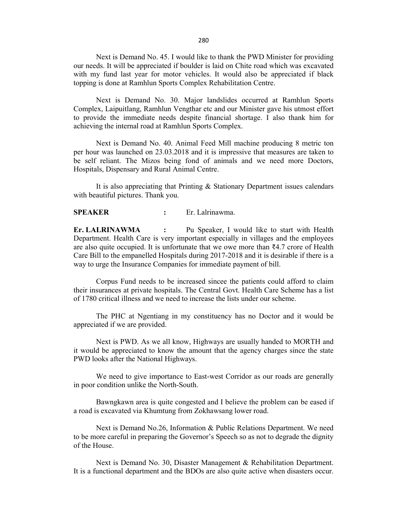280

Next is Demand No. 45. I would like to thank the PWD Minister for providing our needs. It will be appreciated if boulder is laid on Chite road which was excavated with my fund last year for motor vehicles. It would also be appreciated if black topping is done at Ramhlun Sports Complex Rehabilitation Centre.

Next is Demand No. 30. Major landslides occurred at Ramhlun Sports Complex, Laipuitlang, Ramhlun Vengthar etc and our Minister gave his utmost effort to provide the immediate needs despite financial shortage. I also thank him for achieving the internal road at Ramhlun Sports Complex.

Next is Demand No. 40. Animal Feed Mill machine producing 8 metric ton per hour was launched on 23.03.2018 and it is impressive that measures are taken to be self reliant. The Mizos being fond of animals and we need more Doctors, Hospitals, Dispensary and Rural Animal Centre.

It is also appreciating that Printing & Stationary Department issues calendars with beautiful pictures. Thank you.

### **SPEAKER :** Er. Lalrinawma.

**Er. LALRINAWMA :** Pu Speaker, I would like to start with Health Department. Health Care is very important especially in villages and the employees are also quite occupied. It is unfortunate that we owe more than  $\bar{\xi}4.7$  crore of Health Care Bill to the empanelled Hospitals during 2017-2018 and it is desirable if there is a way to urge the Insurance Companies for immediate payment of bill.

Corpus Fund needs to be increased sincee the patients could afford to claim their insurances at private hospitals. The Central Govt. Health Care Scheme has a list of 1780 critical illness and we need to increase the lists under our scheme.

The PHC at Ngentiang in my constituency has no Doctor and it would be appreciated if we are provided.

Next is PWD. As we all know, Highways are usually handed to MORTH and it would be appreciated to know the amount that the agency charges since the state PWD looks after the National Highways.

We need to give importance to East-west Corridor as our roads are generally in poor condition unlike the North-South.

Bawngkawn area is quite congested and I believe the problem can be eased if a road is excavated via Khumtung from Zokhawsang lower road.

Next is Demand No.26, Information & Public Relations Department. We need to be more careful in preparing the Governor's Speech so as not to degrade the dignity of the House.

Next is Demand No. 30, Disaster Management & Rehabilitation Department. It is a functional department and the BDOs are also quite active when disasters occur.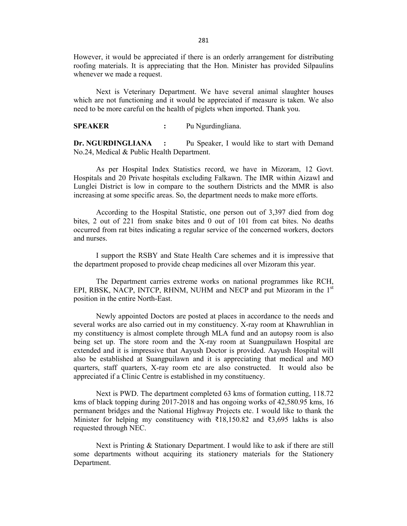However, it would be appreciated if there is an orderly arrangement for distributing roofing materials. It is appreciating that the Hon. Minister has provided Silpaulins whenever we made a request.

Next is Veterinary Department. We have several animal slaughter houses which are not functioning and it would be appreciated if measure is taken. We also need to be more careful on the health of piglets when imported. Thank you.

**SPEAKER :** Pu Ngurdingliana.

**Dr. NGURDINGLIANA :** Pu Speaker, I would like to start with Demand No.24, Medical & Public Health Department.

As per Hospital Index Statistics record, we have in Mizoram, 12 Govt. Hospitals and 20 Private hospitals excluding Falkawn. The IMR within Aizawl and Lunglei District is low in compare to the southern Districts and the MMR is also increasing at some specific areas. So, the department needs to make more efforts.

According to the Hospital Statistic, one person out of 3,397 died from dog bites, 2 out of 221 from snake bites and 0 out of 101 from cat bites. No deaths occurred from rat bites indicating a regular service of the concerned workers, doctors and nurses.

I support the RSBY and State Health Care schemes and it is impressive that the department proposed to provide cheap medicines all over Mizoram this year.

The Department carries extreme works on national programmes like RCH, EPI, RBSK, NACP, INTCP, RHNM, NUHM and NECP and put Mizoram in the 1<sup>st</sup> position in the entire North-East.

Newly appointed Doctors are posted at places in accordance to the needs and several works are also carried out in my constituency. X-ray room at Khawruhlian in my constituency is almost complete through MLA fund and an autopsy room is also being set up. The store room and the X-ray room at Suangpuilawn Hospital are extended and it is impressive that Aayush Doctor is provided. Aayush Hospital will also be established at Suangpuilawn and it is appreciating that medical and MO quarters, staff quarters, X-ray room etc are also constructed. It would also be appreciated if a Clinic Centre is established in my constituency.

Next is PWD. The department completed 63 kms of formation cutting, 118.72 kms of black topping during 2017-2018 and has ongoing works of 42,580.95 kms, 16 permanent bridges and the National Highway Projects etc. I would like to thank the Minister for helping my constituency with  $\overline{318,150.82}$  and  $\overline{33,695}$  lakhs is also requested through NEC.

Next is Printing & Stationary Department. I would like to ask if there are still some departments without acquiring its stationery materials for the Stationery Department.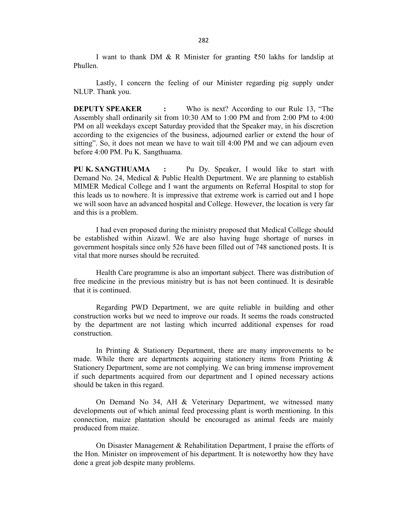I want to thank DM & R Minister for granting ₹50 lakhs for landslip at Phullen.

Lastly, I concern the feeling of our Minister regarding pig supply under NLUP. Thank you.

**DEPUTY SPEAKER :** Who is next? According to our Rule 13, "The Assembly shall ordinarily sit from 10:30 AM to 1:00 PM and from 2:00 PM to 4:00 PM on all weekdays except Saturday provided that the Speaker may, in his discretion according to the exigencies of the business, adjourned earlier or extend the hour of sitting". So, it does not mean we have to wait till 4:00 PM and we can adjourn even before 4:00 PM. Pu K. Sangthuama.

**PU K. SANGTHUAMA :** Pu Dy. Speaker, I would like to start with Demand No. 24, Medical & Public Health Department. We are planning to establish MIMER Medical College and I want the arguments on Referral Hospital to stop for this leads us to nowhere. It is impressive that extreme work is carried out and I hope we will soon have an advanced hospital and College. However, the location is very far and this is a problem.

I had even proposed during the ministry proposed that Medical College should be established within Aizawl. We are also having huge shortage of nurses in government hospitals since only 526 have been filled out of 748 sanctioned posts. It is vital that more nurses should be recruited.

Health Care programme is also an important subject. There was distribution of free medicine in the previous ministry but is has not been continued. It is desirable that it is continued.

Regarding PWD Department, we are quite reliable in building and other construction works but we need to improve our roads. It seems the roads constructed by the department are not lasting which incurred additional expenses for road construction.

In Printing & Stationery Department, there are many improvements to be made. While there are departments acquiring stationery items from Printing  $\&$ Stationery Department, some are not complying. We can bring immense improvement if such departments acquired from our department and I opined necessary actions should be taken in this regard.

On Demand No 34, AH & Veterinary Department, we witnessed many developments out of which animal feed processing plant is worth mentioning. In this connection, maize plantation should be encouraged as animal feeds are mainly produced from maize.

On Disaster Management & Rehabilitation Department, I praise the efforts of the Hon. Minister on improvement of his department. It is noteworthy how they have done a great job despite many problems.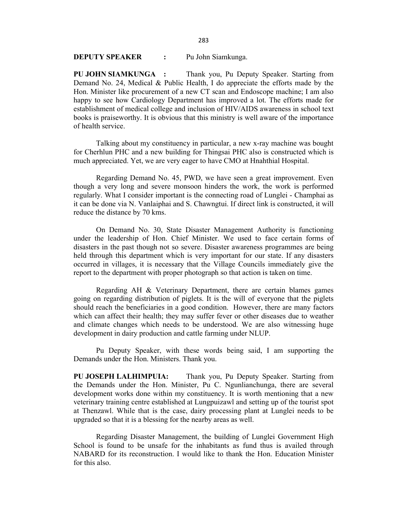#### 283

### **DEPUTY SPEAKER :** Pu John Siamkunga.

**PU JOHN SIAMKUNGA :** Thank you, Pu Deputy Speaker. Starting from Demand No. 24, Medical & Public Health, I do appreciate the efforts made by the Hon. Minister like procurement of a new CT scan and Endoscope machine; I am also happy to see how Cardiology Department has improved a lot. The efforts made for establishment of medical college and inclusion of HIV/AIDS awareness in school text books is praiseworthy. It is obvious that this ministry is well aware of the importance of health service.

Talking about my constituency in particular, a new x-ray machine was bought for Cherhlun PHC and a new building for Thingsai PHC also is constructed which is much appreciated. Yet, we are very eager to have CMO at Hnahthial Hospital.

Regarding Demand No. 45, PWD, we have seen a great improvement. Even though a very long and severe monsoon hinders the work, the work is performed regularly. What I consider important is the connecting road of Lunglei - Champhai as it can be done via N. Vanlaiphai and S. Chawngtui. If direct link is constructed, it will reduce the distance by 70 kms.

On Demand No. 30, State Disaster Management Authority is functioning under the leadership of Hon. Chief Minister. We used to face certain forms of disasters in the past though not so severe. Disaster awareness programmes are being held through this department which is very important for our state. If any disasters occurred in villages, it is necessary that the Village Councils immediately give the report to the department with proper photograph so that action is taken on time.

Regarding AH & Veterinary Department, there are certain blames games going on regarding distribution of piglets. It is the will of everyone that the piglets should reach the beneficiaries in a good condition. However, there are many factors which can affect their health; they may suffer fever or other diseases due to weather and climate changes which needs to be understood. We are also witnessing huge development in dairy production and cattle farming under NLUP.

Pu Deputy Speaker, with these words being said, I am supporting the Demands under the Hon. Ministers. Thank you.

**PU JOSEPH LALHIMPUIA:** Thank you, Pu Deputy Speaker. Starting from the Demands under the Hon. Minister, Pu C. Ngunlianchunga, there are several development works done within my constituency. It is worth mentioning that a new veterinary training centre established at Lungpuizawl and setting up of the tourist spot at Thenzawl. While that is the case, dairy processing plant at Lunglei needs to be upgraded so that it is a blessing for the nearby areas as well.

Regarding Disaster Management, the building of Lunglei Government High School is found to be unsafe for the inhabitants as fund thus is availed through NABARD for its reconstruction. I would like to thank the Hon. Education Minister for this also.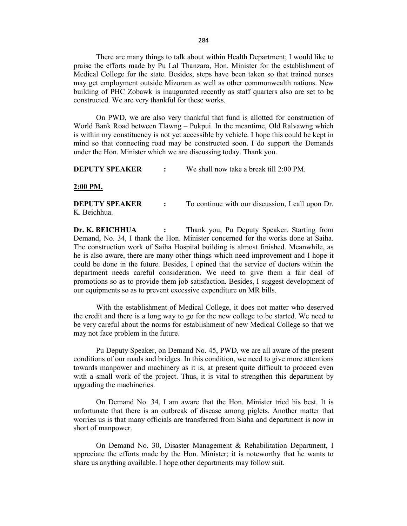There are many things to talk about within Health Department; I would like to praise the efforts made by Pu Lal Thanzara, Hon. Minister for the establishment of Medical College for the state. Besides, steps have been taken so that trained nurses may get employment outside Mizoram as well as other commonwealth nations. New building of PHC Zobawk is inaugurated recently as staff quarters also are set to be constructed. We are very thankful for these works.

On PWD, we are also very thankful that fund is allotted for construction of World Bank Road between Tlawng – Pukpui. In the meantime, Old Ralvawng which is within my constituency is not yet accessible by vehicle. I hope this could be kept in mind so that connecting road may be constructed soon. I do support the Demands under the Hon. Minister which we are discussing today. Thank you.

**DEPUTY SPEAKER :** We shall now take a break till 2:00 PM.

#### **2:00 PM.**

**DEPUTY SPEAKER** : To continue with our discussion, I call upon Dr. K. Beichhua.

**Dr. K. BEICHHUA :** Thank you, Pu Deputy Speaker. Starting from Demand, No. 34, I thank the Hon. Minister concerned for the works done at Saiha. The construction work of Saiha Hospital building is almost finished. Meanwhile, as he is also aware, there are many other things which need improvement and I hope it could be done in the future. Besides, I opined that the service of doctors within the department needs careful consideration. We need to give them a fair deal of promotions so as to provide them job satisfaction. Besides, I suggest development of our equipments so as to prevent excessive expenditure on MR bills.

With the establishment of Medical College, it does not matter who deserved the credit and there is a long way to go for the new college to be started. We need to be very careful about the norms for establishment of new Medical College so that we may not face problem in the future.

Pu Deputy Speaker, on Demand No. 45, PWD, we are all aware of the present conditions of our roads and bridges. In this condition, we need to give more attentions towards manpower and machinery as it is, at present quite difficult to proceed even with a small work of the project. Thus, it is vital to strengthen this department by upgrading the machineries.

On Demand No. 34, I am aware that the Hon. Minister tried his best. It is unfortunate that there is an outbreak of disease among piglets. Another matter that worries us is that many officials are transferred from Siaha and department is now in short of manpower.

On Demand No. 30, Disaster Management & Rehabilitation Department, I appreciate the efforts made by the Hon. Minister; it is noteworthy that he wants to share us anything available. I hope other departments may follow suit.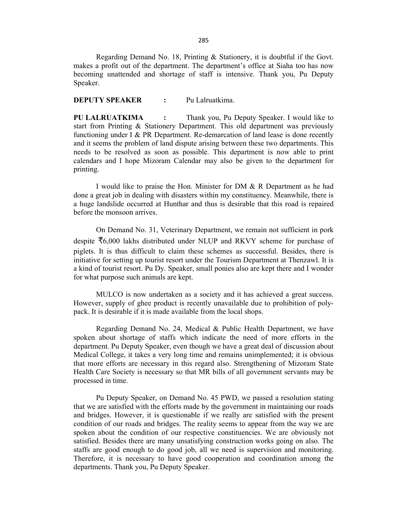Regarding Demand No. 18, Printing & Stationery, it is doubtful if the Govt. makes a profit out of the department. The department's office at Siaha too has now becoming unattended and shortage of staff is intensive. Thank you, Pu Deputy Speaker.

#### **DEPUTY SPEAKER :** Pu Lalruatkima.

**PU LALRUATKIMA :** Thank you, Pu Deputy Speaker. I would like to start from Printing & Stationery Department. This old department was previously functioning under I & PR Department. Re-demarcation of land lease is done recently and it seems the problem of land dispute arising between these two departments. This needs to be resolved as soon as possible. This department is now able to print calendars and I hope Mizoram Calendar may also be given to the department for printing.

I would like to praise the Hon. Minister for DM & R Department as he had done a great job in dealing with disasters within my constituency. Meanwhile, there is a huge landslide occurred at Hunthar and thus is desirable that this road is repaired before the monsoon arrives.

On Demand No. 31, Veterinary Department, we remain not sufficient in pork despite ₹6,000 lakhs distributed under NLUP and RKVY scheme for purchase of piglets. It is thus difficult to claim these schemes as successful. Besides, there is initiative for setting up tourist resort under the Tourism Department at Thenzawl. It is a kind of tourist resort. Pu Dy. Speaker, small ponies also are kept there and I wonder for what purpose such animals are kept.

MULCO is now undertaken as a society and it has achieved a great success. However, supply of ghee product is recently unavailable due to prohibition of polypack. It is desirable if it is made available from the local shops.

Regarding Demand No. 24, Medical & Public Health Department, we have spoken about shortage of staffs which indicate the need of more efforts in the department. Pu Deputy Speaker, even though we have a great deal of discussion about Medical College, it takes a very long time and remains unimplemented; it is obvious that more efforts are necessary in this regard also. Strengthening of Mizoram State Health Care Society is necessary so that MR bills of all government servants may be processed in time.

Pu Deputy Speaker, on Demand No. 45 PWD, we passed a resolution stating that we are satisfied with the efforts made by the government in maintaining our roads and bridges. However, it is questionable if we really are satisfied with the present condition of our roads and bridges. The reality seems to appear from the way we are spoken about the condition of our respective constituencies. We are obviously not satisfied. Besides there are many unsatisfying construction works going on also. The staffs are good enough to do good job, all we need is supervision and monitoring. Therefore, it is necessary to have good cooperation and coordination among the departments. Thank you, Pu Deputy Speaker.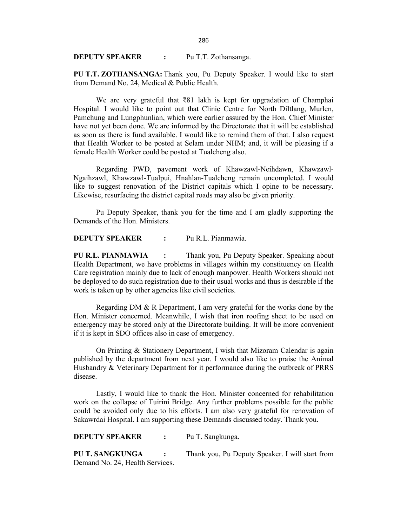**PU T.T. ZOTHANSANGA:** Thank you, Pu Deputy Speaker. I would like to start from Demand No. 24, Medical & Public Health.

We are very grateful that ₹81 lakh is kept for upgradation of Champhai Hospital. I would like to point out that Clinic Centre for North Diltlang, Murlen, Pamchung and Lungphunlian, which were earlier assured by the Hon. Chief Minister have not yet been done. We are informed by the Directorate that it will be established as soon as there is fund available. I would like to remind them of that. I also request that Health Worker to be posted at Selam under NHM; and, it will be pleasing if a female Health Worker could be posted at Tualcheng also.

Regarding PWD, pavement work of Khawzawl-Neihdawn, Khawzawl-Ngaihzawl, Khawzawl-Tualpui, Hnahlan-Tualcheng remain uncompleted. I would like to suggest renovation of the District capitals which I opine to be necessary. Likewise, resurfacing the district capital roads may also be given priority.

Pu Deputy Speaker, thank you for the time and I am gladly supporting the Demands of the Hon. Ministers.

**DEPUTY SPEAKER :** Pu R.L. Pianmawia.

**PU R.L. PIANMAWIA :** Thank you, Pu Deputy Speaker. Speaking about Health Department, we have problems in villages within my constituency on Health Care registration mainly due to lack of enough manpower. Health Workers should not be deployed to do such registration due to their usual works and thus is desirable if the work is taken up by other agencies like civil societies.

Regarding DM & R Department, I am very grateful for the works done by the Hon. Minister concerned. Meanwhile, I wish that iron roofing sheet to be used on emergency may be stored only at the Directorate building. It will be more convenient if it is kept in SDO offices also in case of emergency.

On Printing & Stationery Department, I wish that Mizoram Calendar is again published by the department from next year. I would also like to praise the Animal Husbandry & Veterinary Department for it performance during the outbreak of PRRS disease.

Lastly, I would like to thank the Hon. Minister concerned for rehabilitation work on the collapse of Tuirini Bridge. Any further problems possible for the public could be avoided only due to his efforts. I am also very grateful for renovation of Sakawrdai Hospital. I am supporting these Demands discussed today. Thank you.

**PU T. SANGKUNGA :** Thank you, Pu Deputy Speaker. I will start from Demand No. 24, Health Services.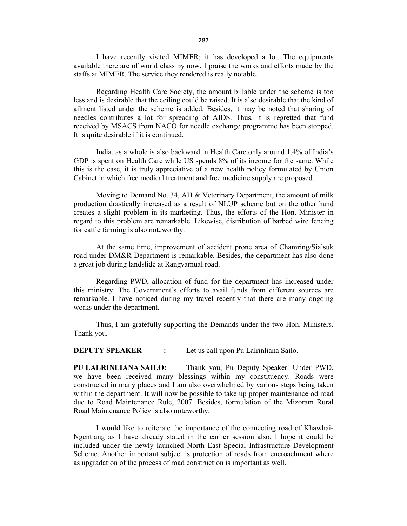I have recently visited MIMER; it has developed a lot. The equipments available there are of world class by now. I praise the works and efforts made by the staffs at MIMER. The service they rendered is really notable.

Regarding Health Care Society, the amount billable under the scheme is too less and is desirable that the ceiling could be raised. It is also desirable that the kind of ailment listed under the scheme is added. Besides, it may be noted that sharing of needles contributes a lot for spreading of AIDS. Thus, it is regretted that fund received by MSACS from NACO for needle exchange programme has been stopped. It is quite desirable if it is continued.

India, as a whole is also backward in Health Care only around 1.4% of India's GDP is spent on Health Care while US spends 8% of its income for the same. While this is the case, it is truly appreciative of a new health policy formulated by Union Cabinet in which free medical treatment and free medicine supply are proposed.

Moving to Demand No. 34, AH & Veterinary Department, the amount of milk production drastically increased as a result of NLUP scheme but on the other hand creates a slight problem in its marketing. Thus, the efforts of the Hon. Minister in regard to this problem are remarkable. Likewise, distribution of barbed wire fencing for cattle farming is also noteworthy.

At the same time, improvement of accident prone area of Chamring/Sialsuk road under DM&R Department is remarkable. Besides, the department has also done a great job during landslide at Rangvamual road.

Regarding PWD, allocation of fund for the department has increased under this ministry. The Government's efforts to avail funds from different sources are remarkable. I have noticed during my travel recently that there are many ongoing works under the department.

Thus, I am gratefully supporting the Demands under the two Hon. Ministers. Thank you.

**DEPUTY SPEAKER :** Let us call upon Pu Lalrinliana Sailo.

**PU LALRINLIANA SAILO:** Thank you, Pu Deputy Speaker. Under PWD, we have been received many blessings within my constituency. Roads were constructed in many places and I am also overwhelmed by various steps being taken within the department. It will now be possible to take up proper maintenance od road due to Road Maintenance Rule, 2007. Besides, formulation of the Mizoram Rural Road Maintenance Policy is also noteworthy.

I would like to reiterate the importance of the connecting road of Khawhai-Ngentiang as I have already stated in the earlier session also. I hope it could be included under the newly launched North East Special Infrastructure Development Scheme. Another important subject is protection of roads from encroachment where as upgradation of the process of road construction is important as well.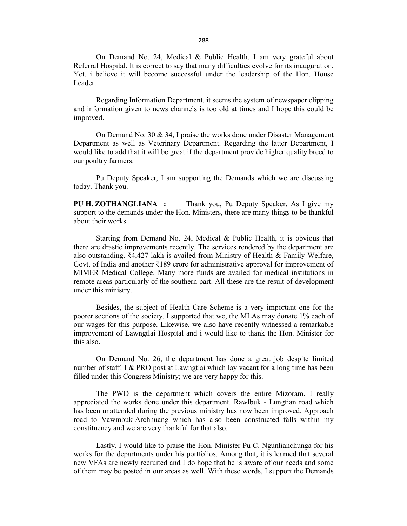On Demand No. 24, Medical & Public Health, I am very grateful about Referral Hospital. It is correct to say that many difficulties evolve for its inauguration. Yet, i believe it will become successful under the leadership of the Hon. House Leader.

Regarding Information Department, it seems the system of newspaper clipping and information given to news channels is too old at times and I hope this could be improved.

On Demand No. 30 & 34, I praise the works done under Disaster Management Department as well as Veterinary Department. Regarding the latter Department, I would like to add that it will be great if the department provide higher quality breed to our poultry farmers.

Pu Deputy Speaker, I am supporting the Demands which we are discussing today. Thank you.

**PU H. ZOTHANGLIANA :** Thank you, Pu Deputy Speaker. As I give my support to the demands under the Hon. Ministers, there are many things to be thankful about their works.

Starting from Demand No. 24, Medical & Public Health, it is obvious that there are drastic improvements recently. The services rendered by the department are also outstanding. ₹4,427 lakh is availed from Ministry of Health & Family Welfare, Govt. of India and another ₹189 crore for administrative approval for improvement of MIMER Medical College. Many more funds are availed for medical institutions in remote areas particularly of the southern part. All these are the result of development under this ministry.

Besides, the subject of Health Care Scheme is a very important one for the poorer sections of the society. I supported that we, the MLAs may donate 1% each of our wages for this purpose. Likewise, we also have recently witnessed a remarkable improvement of Lawngtlai Hospital and i would like to thank the Hon. Minister for this also.

On Demand No. 26, the department has done a great job despite limited number of staff. I & PRO post at Lawngtlai which lay vacant for a long time has been filled under this Congress Ministry; we are very happy for this.

The PWD is the department which covers the entire Mizoram. I really appreciated the works done under this department. Rawlbuk - Lungtian road which has been unattended during the previous ministry has now been improved. Approach road to Vawmbuk-Archhuang which has also been constructed falls within my constituency and we are very thankful for that also.

Lastly, I would like to praise the Hon. Minister Pu C. Ngunlianchunga for his works for the departments under his portfolios. Among that, it is learned that several new VFAs are newly recruited and I do hope that he is aware of our needs and some of them may be posted in our areas as well. With these words, I support the Demands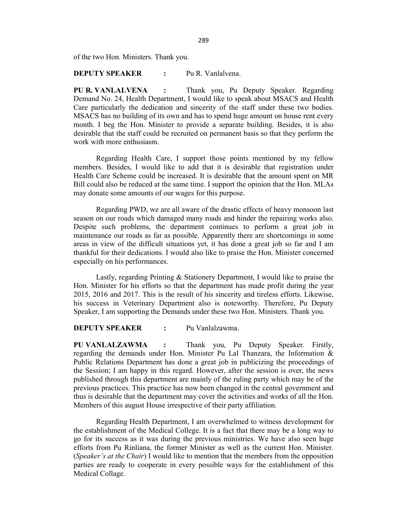of the two Hon. Ministers. Thank you.

### **DEPUTY SPEAKER :** Pu R. Vanlalvena.

**PU R. VANLALVENA :** Thank you, Pu Deputy Speaker. Regarding Demand No. 24, Health Department, I would like to speak about MSACS and Health Care particularly the dedication and sincerity of the staff under these two bodies. MSACS has no building of its own and has to spend huge amount on house rent every month. I beg the Hon. Minister to provide a separate building. Besides, it is also desirable that the staff could be recruited on permanent basis so that they perform the work with more enthusiasm.

Regarding Health Care, I support those points mentioned by my fellow members. Besides, I would like to add that it is desirable that registration under Health Care Scheme could be increased. It is desirable that the amount spent on MR Bill could also be reduced at the same time. I support the opinion that the Hon. MLAs may donate some amounts of our wages for this purpose.

Regarding PWD, we are all aware of the drastic effects of heavy monsoon last season on our roads which damaged many roads and hinder the repairing works also. Despite such problems, the department continues to perform a great job in maintenance our roads as far as possible. Apparently there are shortcomings in some areas in view of the difficult situations yet, it has done a great job so far and I am thankful for their dedications. I would also like to praise the Hon. Minister concerned especially on his performances.

Lastly, regarding Printing & Stationery Department, I would like to praise the Hon. Minister for his efforts so that the department has made profit during the year 2015, 2016 and 2017. This is the result of his sincerity and tireless efforts. Likewise, his success in Veterinary Department also is noteworthy. Therefore, Pu Deputy Speaker, I am supporting the Demands under these two Hon. Ministers. Thank you.

### **DEPUTY SPEAKER :** Pu Vanlalzawma.

**PU VANLALZAWMA :** Thank you, Pu Deputy Speaker. Firstly, regarding the demands under Hon. Minister Pu Lal Thanzara, the Information & Public Relations Department has done a great job in publicizing the proceedings of the Session; I am happy in this regard. However, after the session is over, the news published through this department are mainly of the ruling party which may be of the previous practices. This practice has now been changed in the central government and thus is desirable that the department may cover the activities and works of all the Hon. Members of this august House irrespective of their party affiliation.

Regarding Health Department, I am overwhelmed to witness development for the establishment of the Medical College. It is a fact that there may be a long way to go for its success as it was during the previous ministries. We have also seen huge efforts from Pu Rinliana, the former Minister as well as the current Hon. Minister. (*Speaker's at the Chair*) I would like to mention that the members from the opposition parties are ready to cooperate in every possible ways for the establishment of this Medical Collage.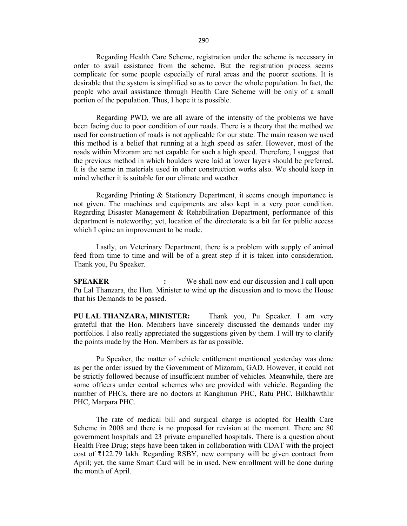Regarding Health Care Scheme, registration under the scheme is necessary in order to avail assistance from the scheme. But the registration process seems complicate for some people especially of rural areas and the poorer sections. It is desirable that the system is simplified so as to cover the whole population. In fact, the people who avail assistance through Health Care Scheme will be only of a small portion of the population. Thus, I hope it is possible.

Regarding PWD, we are all aware of the intensity of the problems we have been facing due to poor condition of our roads. There is a theory that the method we used for construction of roads is not applicable for our state. The main reason we used this method is a belief that running at a high speed as safer. However, most of the roads within Mizoram are not capable for such a high speed. Therefore, I suggest that the previous method in which boulders were laid at lower layers should be preferred. It is the same in materials used in other construction works also. We should keep in mind whether it is suitable for our climate and weather.

Regarding Printing & Stationery Department, it seems enough importance is not given. The machines and equipments are also kept in a very poor condition. Regarding Disaster Management & Rehabilitation Department, performance of this department is noteworthy; yet, location of the directorate is a bit far for public access which I opine an improvement to be made.

Lastly, on Veterinary Department, there is a problem with supply of animal feed from time to time and will be of a great step if it is taken into consideration. Thank you, Pu Speaker.

**SPEAKER :** We shall now end our discussion and I call upon Pu Lal Thanzara, the Hon. Minister to wind up the discussion and to move the House that his Demands to be passed.

**PU LAL THANZARA, MINISTER:** Thank you, Pu Speaker. I am very grateful that the Hon. Members have sincerely discussed the demands under my portfolios. I also really appreciated the suggestions given by them. I will try to clarify the points made by the Hon. Members as far as possible.

Pu Speaker, the matter of vehicle entitlement mentioned yesterday was done as per the order issued by the Government of Mizoram, GAD. However, it could not be strictly followed because of insufficient number of vehicles. Meanwhile, there are some officers under central schemes who are provided with vehicle. Regarding the number of PHCs, there are no doctors at Kanghmun PHC, Ratu PHC, Bilkhawthlir PHC, Marpara PHC.

The rate of medical bill and surgical charge is adopted for Health Care Scheme in 2008 and there is no proposal for revision at the moment. There are 80 government hospitals and 23 private empanelled hospitals. There is a question about Health Free Drug; steps have been taken in collaboration with CDAT with the project cost of ₹122.79 lakh. Regarding RSBY, new company will be given contract from April; yet, the same Smart Card will be in used. New enrollment will be done during the month of April.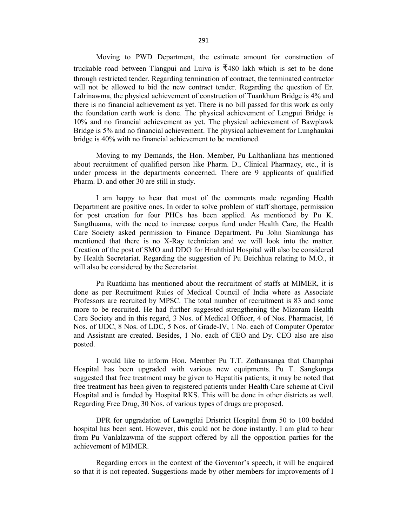Moving to PWD Department, the estimate amount for construction of truckable road between Tlangpui and Luiva is  $\overline{5}480$  lakh which is set to be done through restricted tender. Regarding termination of contract, the terminated contractor will not be allowed to bid the new contract tender. Regarding the question of Er. Lalrinawma, the physical achievement of construction of Tuankhum Bridge is 4% and there is no financial achievement as yet. There is no bill passed for this work as only the foundation earth work is done. The physical achievement of Lengpui Bridge is 10% and no financial achievement as yet. The physical achievement of Bawplawk Bridge is 5% and no financial achievement. The physical achievement for Lunghaukai bridge is 40% with no financial achievement to be mentioned.

Moving to my Demands, the Hon. Member, Pu Lalthanliana has mentioned about recruitment of qualified person like Pharm. D., Clinical Pharmacy, etc., it is under process in the departments concerned. There are 9 applicants of qualified Pharm. D. and other 30 are still in study.

I am happy to hear that most of the comments made regarding Health Department are positive ones. In order to solve problem of staff shortage, permission for post creation for four PHCs has been applied. As mentioned by Pu K. Sangthuama, with the need to increase corpus fund under Health Care, the Health Care Society asked permission to Finance Department. Pu John Siamkunga has mentioned that there is no X-Ray technician and we will look into the matter. Creation of the post of SMO and DDO for Hnahthial Hospital will also be considered by Health Secretariat. Regarding the suggestion of Pu Beichhua relating to M.O., it will also be considered by the Secretariat.

Pu Ruatkima has mentioned about the recruitment of staffs at MIMER, it is done as per Recruitment Rules of Medical Council of India where as Associate Professors are recruited by MPSC. The total number of recruitment is 83 and some more to be recruited. He had further suggested strengthening the Mizoram Health Care Society and in this regard, 3 Nos. of Medical Officer, 4 of Nos. Pharmacist, 16 Nos. of UDC, 8 Nos. of LDC, 5 Nos. of Grade-IV, 1 No. each of Computer Operator and Assistant are created. Besides, 1 No. each of CEO and Dy. CEO also are also posted.

I would like to inform Hon. Member Pu T.T. Zothansanga that Champhai Hospital has been upgraded with various new equipments. Pu T. Sangkunga suggested that free treatment may be given to Hepatitis patients; it may be noted that free treatment has been given to registered patients under Health Care scheme at Civil Hospital and is funded by Hospital RKS. This will be done in other districts as well. Regarding Free Drug, 30 Nos. of various types of drugs are proposed.

DPR for upgradation of Lawngtlai Dristrict Hospital from 50 to 100 bedded hospital has been sent. However, this could not be done instantly. I am glad to hear from Pu Vanlalzawma of the support offered by all the opposition parties for the achievement of MIMER.

Regarding errors in the context of the Governor's speech, it will be enquired so that it is not repeated. Suggestions made by other members for improvements of I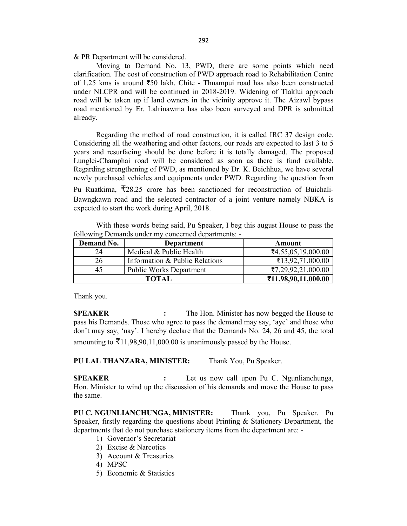& PR Department will be considered.

Moving to Demand No. 13, PWD, there are some points which need clarification. The cost of construction of PWD approach road to Rehabilitation Centre of 1.25 kms is around ₹50 lakh. Chite - Thuampui road has also been constructed under NLCPR and will be continued in 2018-2019. Widening of Tlaklui approach road will be taken up if land owners in the vicinity approve it. The Aizawl bypass road mentioned by Er. Lalrinawma has also been surveyed and DPR is submitted already.

Regarding the method of road construction, it is called IRC 37 design code. Considering all the weathering and other factors, our roads are expected to last 3 to 5 years and resurfacing should be done before it is totally damaged. The proposed Lunglei-Champhai road will be considered as soon as there is fund available. Regarding strengthening of PWD, as mentioned by Dr. K. Beichhua, we have several newly purchased vehicles and equipments under PWD. Regarding the question from Pu Ruatkima, ₹28.25 crore has been sanctioned for reconstruction of Buichali-

Bawngkawn road and the selected contractor of a joint venture namely NBKA is expected to start the work during April, 2018.

With these words being said, Pu Speaker, I beg this august House to pass the following Demands under my concerned departments: -

| Demand No. | Department                     | Amount              |
|------------|--------------------------------|---------------------|
| 24         | Medical & Public Health        | ₹4,55,05,19,000.00  |
| 26         | Information & Public Relations | ₹13,92,71,000.00    |
| 45         | <b>Public Works Department</b> | ₹7,29,92,21,000.00  |
|            | <b>TOTAL</b>                   | ₹11,98,90,11,000.00 |

Thank you.

**SPEAKER :** The Hon. Minister has now begged the House to pass his Demands. Those who agree to pass the demand may say, 'aye' and those who don't may say, 'nay'. I hereby declare that the Demands No. 24, 26 and 45, the total amounting to  $\bar{\mathcal{F}}$ 11,98,90,11,000.00 is unanimously passed by the House.

**PU LAL THANZARA, MINISTER:** Thank You, Pu Speaker.

**SPEAKER :** Let us now call upon Pu C. Ngunlianchunga, Hon. Minister to wind up the discussion of his demands and move the House to pass the same.

**PU C. NGUNLIANCHUNGA, MINISTER:** Thank you, Pu Speaker. Pu Speaker, firstly regarding the questions about Printing & Stationery Department, the departments that do not purchase stationery items from the department are: -

- 1) Governor's Secretariat
- 2) Excise & Narcotics
- 3) Account & Treasuries
- 4) MPSC
- 5) Economic & Statistics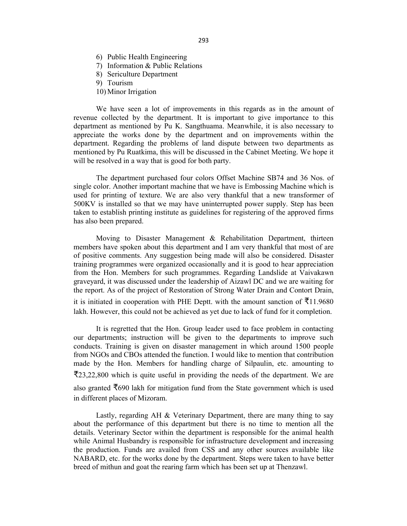- 6) Public Health Engineering
- 7) Information & Public Relations
- 8) Sericulture Department
- 9) Tourism
- 10) Minor Irrigation

We have seen a lot of improvements in this regards as in the amount of revenue collected by the department. It is important to give importance to this department as mentioned by Pu K. Sangthuama. Meanwhile, it is also necessary to appreciate the works done by the department and on improvements within the department. Regarding the problems of land dispute between two departments as mentioned by Pu Ruatkima, this will be discussed in the Cabinet Meeting. We hope it will be resolved in a way that is good for both party.

The department purchased four colors Offset Machine SB74 and 36 Nos. of single color. Another important machine that we have is Embossing Machine which is used for printing of texture. We are also very thankful that a new transformer of 500KV is installed so that we may have uninterrupted power supply. Step has been taken to establish printing institute as guidelines for registering of the approved firms has also been prepared.

Moving to Disaster Management & Rehabilitation Department, thirteen members have spoken about this department and I am very thankful that most of are of positive comments. Any suggestion being made will also be considered. Disaster training programmes were organized occasionally and it is good to hear appreciation from the Hon. Members for such programmes. Regarding Landslide at Vaivakawn graveyard, it was discussed under the leadership of Aizawl DC and we are waiting for the report. As of the project of Restoration of Strong Water Drain and Contort Drain, it is initiated in cooperation with PHE Deptt. with the amount sanction of  $\bar{\bar{\xi}}$ 11.9680 lakh. However, this could not be achieved as yet due to lack of fund for it completion.

It is regretted that the Hon. Group leader used to face problem in contacting our departments; instruction will be given to the departments to improve such conducts. Training is given on disaster management in which around 1500 people from NGOs and CBOs attended the function. I would like to mention that contribution made by the Hon. Members for handling charge of Silpaulin, etc. amounting to ₹23,22,800 which is quite useful in providing the needs of the department. We are also granted  $\bar{x}690$  lakh for mitigation fund from the State government which is used in different places of Mizoram.

Lastly, regarding AH & Veterinary Department, there are many thing to say about the performance of this department but there is no time to mention all the details. Veterinary Sector within the department is responsible for the animal health while Animal Husbandry is responsible for infrastructure development and increasing the production. Funds are availed from CSS and any other sources available like NABARD, etc. for the works done by the department. Steps were taken to have better breed of mithun and goat the rearing farm which has been set up at Thenzawl.